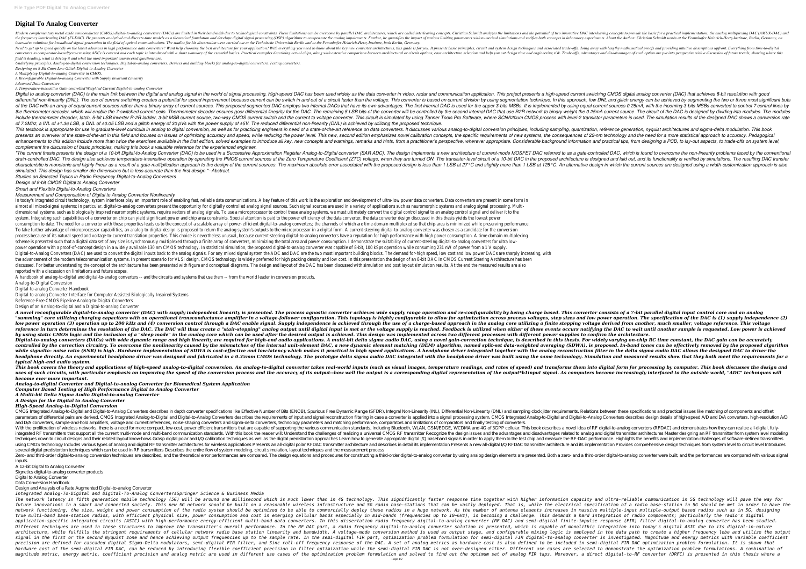## **Digital To Analog Converter**

DAC architectures, which are learning monoductor (CMOS) digital-to-analog converters (DACs) are limited in their bandwidth due to technological constraints. These limitations and the potential of two innovative DAC interle the frequency interleaving DAC (FI-DAC). He presents analytical and discrete-time models as a theoretical foundation and develops digital signal processing (DSP) algorithms to compensate the analog impairments. About the A innovative solutions for broadband signal generation in the field of optical communications. The studies for his dissertation were carried out at the Technische Universität Berlin and at the Fraunhofer Heinrich-Hertz-Insti Need to get up to speed quickly on the latest advances in high performance data converters? Want help choosing the best architecture for your application? With everything you need to know about the key new converter archit s comparator-based/zero-crossing ADCs is covered and each topic is introduced with a short summary of the essential basics. Practical examples describing actual chips, along with extensive comparison between architectural *field is heading, what is driving it and what the most important unanswered questions are.*

*Underlying principles. Analog-to-digital conversion techniques. Digital-to-analog converters. Devices and building blocks for analog-to-digital converters. Testing converters. Designing an 8-Bit Cmos Low Glitch Digital-to-Analog Converter*

*A Multiplying Digital-to-analog Converter in CMOS.*

*A Reconfigurable Digital-to-analog Converter with Supply Invariant Linearity*

*Advanced Data Converters*

*A Temperature-insensitive Gate-controlled Weighted Current Digital-to-analog Converter*

Digital to analog converter (DAC) is the main link between the digital and analog signal in the world of signal processing. High-speed DAC has been used widely as the data converter in video, radar and communication applic olifferential non-linearity (DNL). The use of current switching creates a potential for speed improvement because current can be switch in and out of a circuit faster than the voltage. In this approach, low DNL and glitch of the DAC with an array of equal current sources rather than a binary array of current sources. This proposed segmented DAC employs two internal DAC is used for the upper 3-bits MSBs. It is implemented by using equal curr the thermometer decoder, which will enable the 7-switched current cells. Thermometer decoder ensures goor differential linearity for the DAC. The remaining 5 LSB bits of the converter will be controlled by the second inter include thermometer decoder, latch, 5-bit LSB inverter R-2R ladder, 3-bit MSB current source, two-way CMOS current switch and the current to voltage converter. This circuit is simulated by using Tanner Tools Pro Software, *of 7.2Mhz, a INL of ±1.36 LSB, a DNL of ±0.05 LSB and a glitch energy of 30 pVs with the power supply of ±5V. The reduced differential non-linearity (DNL) is achieved by utilizing the proposed technique.* This textbook is appropriate for use in graduate-level curricula in analog to digital conversion, as well as for practicing engineers in need of a state-of-the-art reference on data conversion principles, including samplin presents an overview of the state-of-the-art in this field and focuses on issues of optimizing accuracy and speed, while reducing the power level. This new, second edition emphasizes novel calibration concepts, the specifi enhancements to this edition include more than twice the exercises available in the first edition, solved examples to introduce all key, new concepts and hints, from a practitioner's perspective, wherever appropriate. Cons *complement the discussion of basic principles, making this book a valuable reference for the experienced engineer.*

"The current thesis presents the design of a 10-bit Digital-to-Analog Converter (DAC) to be used in a Successive Approximation Register Analog-to-Digital converter (SAR ADC). The design implements a new architecture of cur arain-controlled DAC. The design also achieves temperature-insensitive operation by operation by operation by operating the PMOS current sources at the Zero Temperature is designed and laid out, and its functionality is ve the design is which the proposed design in which the current sources. The maximum absolute error associated with the proposed design is less than 1 LSB at 27°C and slightly more than 1 LSB at 125°C. An alternative design i *simulated. This design has smaller die dimensions but is less accurate than the first design."--Abstract.*

In today's integrated circuit technology, system interfaces play an important role of enabling fast, reliable data communications. A key feature of this work is the exploration and development of ultra-low power data conve almost all mixed-signal systems; in particular, digital-to-analog converters present the opportunity for digitally controlled analog signal sources are used in a variety of applications such as neuromorphic systems and ana dimensional systems, such as biologically inspired neuromorphic systems, require vectors of analog signals. To use a microprocessor to control these analog control signal to an analog control signal and deliver it to the system. Integrating such capabilities of a converter on chip can yield significant power and chip area constraints. Special attention is paid to the power efficiency of the data converter design discussed in this thesis yi consumption to date. The need for a converter with these properties leads us to the concept of a scalable array of power-efficient digital-to-analog converters; the channels of which are time-domain multiplexed so that chi To take further advantage of microprocessor capabilities, an analog-to-digital design is proposed to return the analog system's outputs to the microprocessor in a digital-to-analog converter was chosen as a candidate for t process because of its natural speed and voltage-to-current translation properties. This choice is nevertheless unusual, because current-steering digital-to-analog converters have a reputation for high power consumption. A scheme is presented such that a digital data set of any size is synchronously multiplexed through a finite array of converters, minimizing the total area and power consumption. I demonstrate the suitability of current-stee power operation with a proof-of-concept design in a widely available 130 nm CMOS technology. In statistical simulation, the proposed digital-to-analog converter was capable of 8-bit, 100 kSps operation while consuming 231 Digital-to-Analog Converters (DAC) are used to convert the digital inputs back to the analog signals. For any mixed signal system the ADC and DAC are the two most important building blocks. The demand for-high speed, low c the advancement of the modern telecommunication systems. In present scenario for VLSI design, CMOS technology is widely preferred for high packing density and low cost. In this presentation the design of an 8-bit DAC in CM discussed. For better understanding the concept of the architecture has been presented with figure and conceptual diagrams. The design and layout of the DAC has been discussed with simulation results. At the end the measur reported with a discussion on limitations and future scopes.

A novel reconfigurable digital-to-analog converter (DAC) with supply independent linearity is presented. The process agnostic converter achieves wide supply range operation and re-configurability by being charge based. Thi "summing" core utilizing charging capacitors with an operational transconductance amplifier in a voltage-follower configuration. This topology is highly configurable to allow for optimization across process voltages, step low power operation (3) operation up to 200 kHz and (4) conversion control through a DAC enable signal. Supply independence is achieved through the use of a charge-based approach in the analog core utilizing a finite stepp reference in turn determines the resolution of the DAC. The DAC will thus create a "stair-stepping" analog output until digital input is met or the voltage supply is reached. Feedback is utilized when either of these event by using static CMOS logic and the inclusion of a "sleep mode" in the analog core which can be used after the desired output is achieved. This design was implemented across two different processes with different power supp Digital-to-analog converters (DACs) with wide dynamic range and high linearity are required for high-end audio applications. A multi-bit delta sigma audio DAC, using a novel gain-correction technique, is described in this controlled by the correction circuitry. To overcome the nonlinearity caused by the mismatches of the internal unit-element DAC, a new dynamic element matching (DEM) algorithm, named split-set data-weighted averaging (SDWA) while sianalto- noise ratio (SNR) is hiah. Hardware implementation of SDWA is cost-effective and low-latency which makes it practical in hiah speed applications. A headphone driver intearated toaether with the analoa recon headphone directly. An experimental headphone driver was designed and fabricated in a 0.35mm CMOS technology. The prototype delta sigma audio DAC integrated with the headphone driver was built using the same technology. Si *typical high-end audio system.*

*Studies on Selected Topics in Radio Frequency Digital-to-Analog Converters*

This book covers the theory and applications of high-speed analog-to-digital conversion. An analog-to-digital converter takes real-world inputs (such as visual images, temperature readings, and ransforms them into digital uses of such circuits, with particular emphasis on improving the speed of the conversion process and the accuracy of its output-how well the output is a corresponding digital representation of the output-how well the outpu *become ever more important.*

*Design of 8-bit CMOS Digital to Analog Converter*

*Smart and Flexible Digital-to-Analog Converters*

*Measurement and Compensation of Digital to Analog Converter Nonlinearity*

CMOS Integrated Analog-to-Digital and Digital-to-Analog Converters describes in depth converter specifications like Effective Number of Bits (ENOB), Spurious Free Dynamic Range (SFDR), Integral Non-Linearity (INL), Differe parameters of differential pairs are derived. CMOS Integrated Analog-to-Digital and Digital-to-Analog Converters describes the requirements of input and Digital-to-Analog Converters describes the requirements of input and and D/A converters, sample-and-hold amplifiers, voltage and current references, noise-shaping converters and sigma-delta converters, technology parameters and matching performance, comparators and limitations of comparator With the proliferation of wireless networks, there is a need for more compact, low-cost, power efficient transmitters that are capable of supporting the various communication standards, including Bluetooth, WLAN, GSM/EDGE, integrated RF transmitters that support all the current multi-mode and multi-band communication standards. With this book the reader will: Understand the advantages and disadvantages and digital transmitter architectures M techniques down to circuit designs and their related layout know-hows Grasp digital polar and I/Q calibration techniques as well as the digital I/Q baseband signals in order to apply them to the test chip and measure the R using CMOS technology Includes various types of analog and digital RF transmitter architectures for wireless applications Presents an all-digital I/Q RFDAC transmitter architecture and its implementation Provides comprehen several digital predistortion techniques which can be used in RF transmitters Describes the entire flow of system modeling, circuit simulation, layout techniques and the measurement process Zero- and third-order digital-to-analog conversion techniques are described, and the theoretical error performances are compared. The design elements are presented. Both a zero- and a third-order digital-to-analog converte inputs.

The network latency in fifth generation mobile technology (5G) will be around one millisecond which is much lower than in 4G technology. This significantly faster response time together with higher information capacity and future innovations in a smart and connected society. This new 5G network should be built on a reasonable wireless infrastructure and 5G radio base-station of a radio base-station in 5G should be met in order to have the network functioning, the size, weight and power consumption of the radio system should be optimized to be able to commercially deploy these radios in a huge network. As the number of antenna elements increases in massive m true multi-band base-station radios, with efficient physical size, power consumption and cost in emerging cellular bands especially in mid-bands (frequencies up to 10~GHz), is becoming a challenge. This demands a hard inte application-specific integrated circuits (ASIC) with high-performance energy-efficient multi-band data converters. In this dissertation radio frequency digital-to-analog converter (RF DAC) and semi-digital finite-impulse r Different techniques are used in these structures to improve the transmitter's overall performance. In the RF DAC part, a radio frequency digital-to-analog converter solution is presented, which is capable of monolithic in architecture, while fulfills the stringent requirements of cellular network radio base station linearity and bandwidth. A voltage-mode conversion method is used as output stage, and configurable mixing logic is employed in signal in the first or the second Nyquist zone and hence achieving output frequencies up to the sample rate. In the semi-digital FIR part, optimization problem formulation for semi-digital FIR digital-to-analog converter i precision are defined for cascaded digital Sigma-Delta modulators, semi-digital FIR filter, and Sinc roll-off frequency response of the DAC. A set of analog metrics as hardware cost is also defined to be included in semi-d hardware cost of the semi-digital FIR DAC, can be reduced by introducing flexible coefficient precision in filter optimization while the semi-digital FIR DAC is not over-designed either. Different use cases are selected to magnitude metric, energy metric, coefficient precision and analog metric are used in different use cases of the optimization problem formulation and solved to find out the optimum set of analog FIR taps. Moreover, a direct Page 1/2

A handbook of analog-to-digital and digital-to-analog converters -- and the circuits and systems that use them -- from the world leader in conversion products. Analog-to-Digital Conversion

Digital-to-analog Converter Handbook

Digital-to-analog Converter Interface for Computer Assisted Biologically Inspired Systems

Reference-Free CMOS Pipeline Analog-to-Digital Converters

Design of an Analog-to-digital and a Digital-to-analog Converter

*Analog-to-digital Converter and Digital-to-analog Converter for Biomedical System Application Computer Based Testing of High Performance Digital to Analog Converter*

*A Multi-bit Delta Sigma Audio Digital-to-analog Converter*

*A Design for the Digital to Analog Converter*

*High-Speed Analog-to-Digital Conversion*

A 12-bit Digital to Analog Converter

Signetics digital-to-analog converter products

Digital to Analog Converter

Data Conversion Handbook

Design and Analysis of a Rate Augmented Digital-to-analog Converter

*Integrated Analog-To-Digital and Digital-To-Analog ConvertersSpringer Science & Business Media*